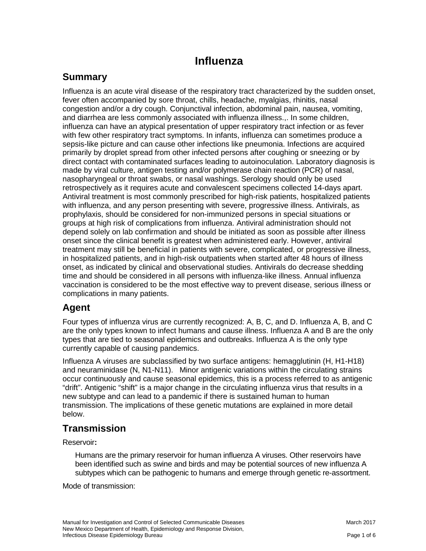# **Influenza**

# **Summary**

Influenza is an acute viral disease of the respiratory tract characterized by the sudden onset, fever often accompanied by sore throat, chills, headache, myalgias, rhinitis, nasal congestion and/or a dry cough. Conjunctival infection, abdominal pain, nausea, vomiting, and diarrhea are less commonly associated with influenza illness.,. In some children, influenza can have an atypical presentation of upper respiratory tract infection or as fever with few other respiratory tract symptoms. In infants, influenza can sometimes produce a sepsis-like picture and can cause other infections like pneumonia. Infections are acquired primarily by droplet spread from other infected persons after coughing or sneezing or by direct contact with contaminated surfaces leading to autoinoculation. Laboratory diagnosis is made by viral culture, antigen testing and/or polymerase chain reaction (PCR) of nasal, nasopharyngeal or throat swabs, or nasal washings. Serology should only be used retrospectively as it requires acute and convalescent specimens collected 14-days apart. Antiviral treatment is most commonly prescribed for high-risk patients, hospitalized patients with influenza, and any person presenting with severe, progressive illness. Antivirals, as prophylaxis, should be considered for non-immunized persons in special situations or groups at high risk of complications from influenza. Antiviral administration should not depend solely on lab confirmation and should be initiated as soon as possible after illness onset since the clinical benefit is greatest when administered early. However, antiviral treatment may still be beneficial in patients with severe, complicated, or progressive illness, in hospitalized patients, and in high-risk outpatients when started after 48 hours of illness onset, as indicated by clinical and observational studies. Antivirals do decrease shedding time and should be considered in all persons with influenza-like illness. Annual influenza vaccination is considered to be the most effective way to prevent disease, serious illness or complications in many patients.

# **Agent**

Four types of influenza virus are currently recognized: A, B, C, and D. Influenza A, B, and C are the only types known to infect humans and cause illness. Influenza A and B are the only types that are tied to seasonal epidemics and outbreaks. Influenza A is the only type currently capable of causing pandemics.

Influenza A viruses are subclassified by two surface antigens: hemagglutinin (H, H1-H18) and neuraminidase (N, N1-N11). Minor antigenic variations within the circulating strains occur continuously and cause seasonal epidemics, this is a process referred to as antigenic "drift". Antigenic "shift" is a major change in the circulating influenza virus that results in a new subtype and can lead to a pandemic if there is sustained human to human transmission. The implications of these genetic mutations are explained in more detail below.

# **Transmission**

Reservoir**:**

Humans are the primary reservoir for human influenza A viruses. Other reservoirs have been identified such as swine and birds and may be potential sources of new influenza A subtypes which can be pathogenic to humans and emerge through genetic re-assortment.

Mode of transmission: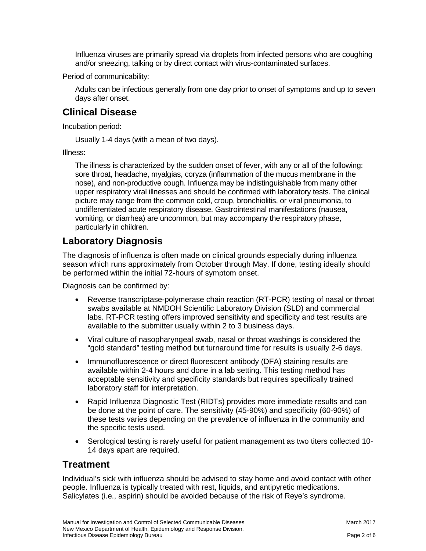Influenza viruses are primarily spread via droplets from infected persons who are coughing and/or sneezing, talking or by direct contact with virus-contaminated surfaces.

Period of communicability:

Adults can be infectious generally from one day prior to onset of symptoms and up to seven days after onset.

# **Clinical Disease**

Incubation period:

Usually 1-4 days (with a mean of two days).

Illness:

The illness is characterized by the sudden onset of fever, with any or all of the following: sore throat, headache, myalgias, coryza (inflammation of the mucus membrane in the nose), and non-productive cough. Influenza may be indistinguishable from many other upper respiratory viral illnesses and should be confirmed with laboratory tests. The clinical picture may range from the common cold, croup, bronchiolitis, or viral pneumonia, to undifferentiated acute respiratory disease. Gastrointestinal manifestations (nausea, vomiting, or diarrhea) are uncommon, but may accompany the respiratory phase, particularly in children.

### **Laboratory Diagnosis**

The diagnosis of influenza is often made on clinical grounds especially during influenza season which runs approximately from October through May. If done, testing ideally should be performed within the initial 72-hours of symptom onset.

Diagnosis can be confirmed by:

- Reverse transcriptase-polymerase chain reaction (RT-PCR) testing of nasal or throat swabs available at NMDOH Scientific Laboratory Division (SLD) and commercial labs. RT-PCR testing offers improved sensitivity and specificity and test results are available to the submitter usually within 2 to 3 business days.
- Viral culture of nasopharyngeal swab, nasal or throat washings is considered the "gold standard" testing method but turnaround time for results is usually 2-6 days.
- Immunofluorescence or direct fluorescent antibody (DFA) staining results are available within 2-4 hours and done in a lab setting. This testing method has acceptable sensitivity and specificity standards but requires specifically trained laboratory staff for interpretation.
- Rapid Influenza Diagnostic Test (RIDTs) provides more immediate results and can be done at the point of care. The sensitivity (45-90%) and specificity (60-90%) of these tests varies depending on the prevalence of influenza in the community and the specific tests used.
- Serological testing is rarely useful for patient management as two titers collected 10- 14 days apart are required.

### **Treatment**

Individual's sick with influenza should be advised to stay home and avoid contact with other people. Influenza is typically treated with rest, liquids, and antipyretic medications. Salicylates (i.e., aspirin) should be avoided because of the risk of Reye's syndrome.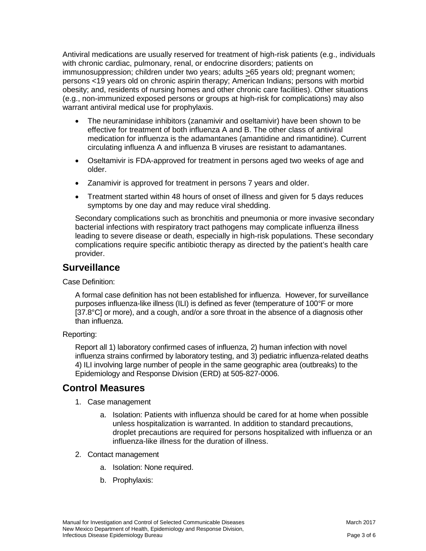Antiviral medications are usually reserved for treatment of high-risk patients (e.g., individuals with chronic cardiac, pulmonary, renal, or endocrine disorders; patients on immunosuppression; children under two years; adults >65 years old; pregnant women; persons <19 years old on chronic aspirin therapy; American Indians; persons with morbid obesity; and, residents of nursing homes and other chronic care facilities). Other situations (e.g., non-immunized exposed persons or groups at high-risk for complications) may also warrant antiviral medical use for prophylaxis.

- The neuraminidase inhibitors (zanamivir and oseltamivir) have been shown to be effective for treatment of both influenza A and B. The other class of antiviral medication for influenza is the adamantanes (amantidine and rimantidine). Current circulating influenza A and influenza B viruses are resistant to adamantanes.
- Oseltamivir is FDA-approved for treatment in persons aged two weeks of age and older.
- Zanamivir is approved for treatment in persons 7 years and older.
- Treatment started within 48 hours of onset of illness and given for 5 days reduces symptoms by one day and may reduce viral shedding.

Secondary complications such as bronchitis and pneumonia or more invasive secondary bacterial infections with respiratory tract pathogens may complicate influenza illness leading to severe disease or death, especially in high-risk populations. These secondary complications require specific antibiotic therapy as directed by the patient's health care provider.

### **Surveillance**

Case Definition:

A formal case definition has not been established for influenza. However, for surveillance purposes influenza-like illness (ILI) is defined as fever (temperature of 100°F or more [37.8°C] or more), and a cough, and/or a sore throat in the absence of a diagnosis other than influenza.

#### Reporting:

Report all 1) laboratory confirmed cases of influenza, 2) human infection with novel influenza strains confirmed by laboratory testing, and 3) pediatric influenza-related deaths 4) ILI involving large number of people in the same geographic area (outbreaks) to the Epidemiology and Response Division (ERD) at 505-827-0006.

### **Control Measures**

- 1. Case management
	- a. Isolation: Patients with influenza should be cared for at home when possible unless hospitalization is warranted. In addition to standard precautions, droplet precautions are required for persons hospitalized with influenza or an influenza-like illness for the duration of illness.
- 2. Contact management
	- a. Isolation: None required.
	- b. Prophylaxis: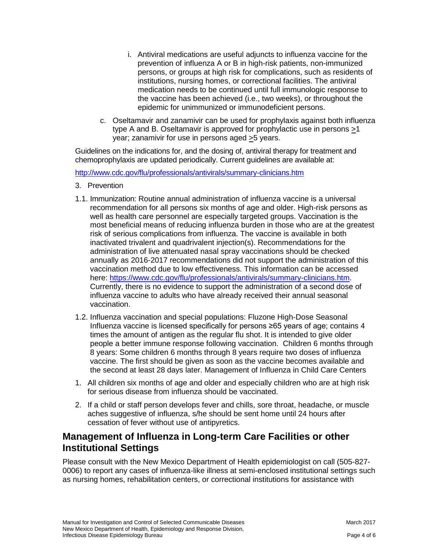- i. Antiviral medications are useful adjuncts to influenza vaccine for the prevention of influenza A or B in high-risk patients, non-immunized persons, or groups at high risk for complications, such as residents of institutions, nursing homes, or correctional facilities. The antiviral medication needs to be continued until full immunologic response to the vaccine has been achieved (i.e., two weeks), or throughout the epidemic for unimmunized or immunodeficient persons.
- c. Oseltamavir and zanamivir can be used for prophylaxis against both influenza type A and B. Oseltamavir is approved for prophylactic use in persons >1 year; zanamivir for use in persons aged >5 years.

Guidelines on the indications for, and the dosing of, antiviral therapy for treatment and chemoprophylaxis are updated periodically. Current guidelines are available at:

<http://www.cdc.gov/flu/professionals/antivirals/summary-clinicians.htm>

- 3. Prevention
- 1.1. Immunization: Routine annual administration of influenza vaccine is a universal recommendation for all persons six months of age and older. High-risk persons as well as health care personnel are especially targeted groups. Vaccination is the most beneficial means of reducing influenza burden in those who are at the greatest risk of serious complications from influenza. The vaccine is available in both inactivated trivalent and quadrivalent injection(s). Recommendations for the administration of live attenuated nasal spray vaccinations should be checked annually as 2016-2017 recommendations did not support the administration of this vaccination method due to low effectiveness. This information can be accessed here: [https://www.cdc.gov/flu/professionals/antivirals/summary-clinicians.htm.](https://www.cdc.gov/flu/professionals/antivirals/summary-clinicians.htm) Currently, there is no evidence to support the administration of a second dose of influenza vaccine to adults who have already received their annual seasonal vaccination.
- 1.2. Influenza vaccination and special populations: Fluzone High-Dose Seasonal Influenza vaccine is licensed specifically for persons ≥65 years of age; contains 4 times the amount of antigen as the regular flu shot. It is intended to give older people a better immune response following vaccination. Children 6 months through 8 years: Some children 6 months through 8 years require two doses of influenza vaccine. The first should be given as soon as the vaccine becomes available and the second at least 28 days later. Management of Influenza in Child Care Centers
- 1. All children six months of age and older and especially children who are at high risk for serious disease from influenza should be vaccinated.
- 2. If a child or staff person develops fever and chills, sore throat, headache, or muscle aches suggestive of influenza, s/he should be sent home until 24 hours after cessation of fever without use of antipyretics.

### **Management of Influenza in Long-term Care Facilities or other Institutional Settings**

Please consult with the New Mexico Department of Health epidemiologist on call (505-827- 0006) to report any cases of influenza-like illness at semi-enclosed institutional settings such as nursing homes, rehabilitation centers, or correctional institutions for assistance with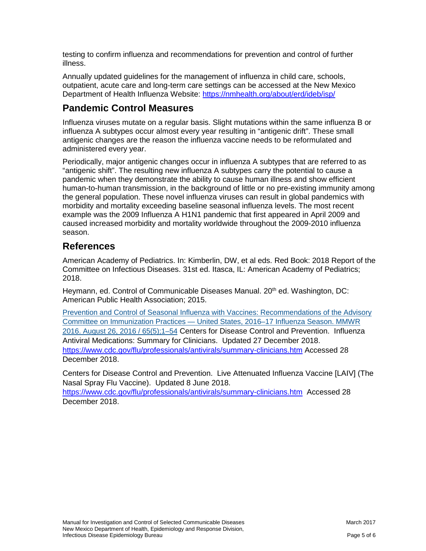testing to confirm influenza and recommendations for prevention and control of further illness.

Annually updated guidelines for the management of influenza in child care, schools, outpatient, acute care and long-term care settings can be accessed at the New Mexico Department of Health Influenza Website:<https://nmhealth.org/about/erd/ideb/isp/>

# **Pandemic Control Measures**

Influenza viruses mutate on a regular basis. Slight mutations within the same influenza B or influenza A subtypes occur almost every year resulting in "antigenic drift". These small antigenic changes are the reason the influenza vaccine needs to be reformulated and administered every year.

Periodically, major antigenic changes occur in influenza A subtypes that are referred to as "antigenic shift". The resulting new influenza A subtypes carry the potential to cause a pandemic when they demonstrate the ability to cause human illness and show efficient human-to-human transmission, in the background of little or no pre-existing immunity among the general population. These novel influenza viruses can result in global pandemics with morbidity and mortality exceeding baseline seasonal influenza levels. The most recent example was the 2009 Influenza A H1N1 pandemic that first appeared in April 2009 and caused increased morbidity and mortality worldwide throughout the 2009-2010 influenza season.

### **References**

American Academy of Pediatrics. In: Kimberlin, DW, et al eds. Red Book: 2018 Report of the Committee on Infectious Diseases. 31st ed. Itasca, IL: American Academy of Pediatrics; 2018.

Heymann, ed. Control of Communicable Diseases Manual. 20<sup>th</sup> ed. Washington, DC: American Public Health Association; 2015.

[Prevention and Control of Seasonal Influenza with Vaccines: Recommendations of the Advisory](https://www.cdc.gov/mmwr/volumes/65/rr/rr6505a1.htm?s_cid=rr6505a1_w)  Committee on Immunization Practices — [United States, 2016–17 Influenza Season. MMWR](https://www.cdc.gov/mmwr/volumes/65/rr/rr6505a1.htm?s_cid=rr6505a1_w)  [2016. August 26, 2016 / 65\(5\);1–54](https://www.cdc.gov/mmwr/volumes/65/rr/rr6505a1.htm?s_cid=rr6505a1_w) Centers for Disease Control and Prevention. Influenza Antiviral Medications: Summary for Clinicians. Updated 27 December 2018. <https://www.cdc.gov/flu/professionals/antivirals/summary-clinicians.htm> Accessed 28 December 2018.

Centers for Disease Control and Prevention. Live Attenuated Influenza Vaccine [LAIV] (The Nasal Spray Flu Vaccine). Updated 8 June 2018.

<https://www.cdc.gov/flu/professionals/antivirals/summary-clinicians.htm>Accessed 28 December 2018.